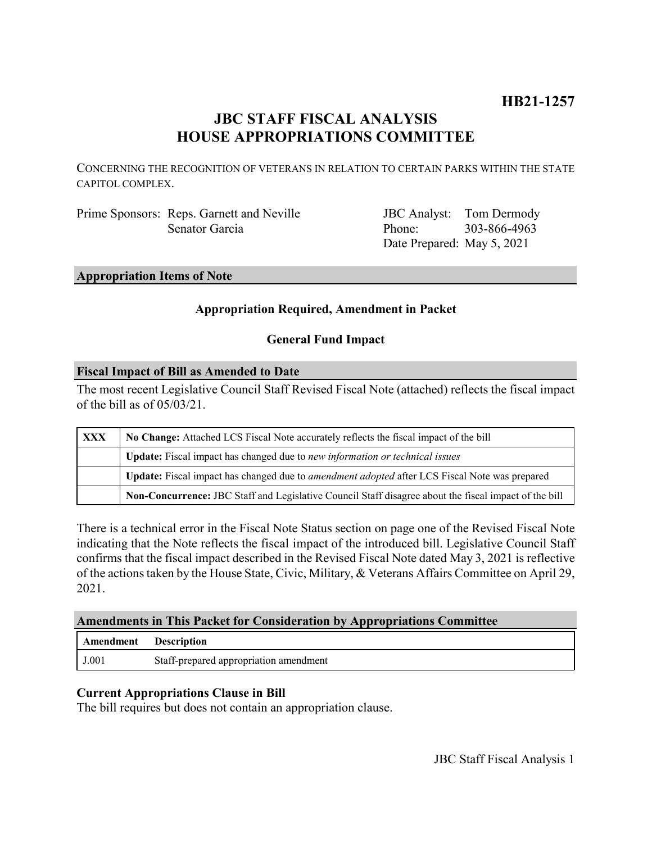# **HB21-1257**

## **JBC STAFF FISCAL ANALYSIS HOUSE APPROPRIATIONS COMMITTEE**

CONCERNING THE RECOGNITION OF VETERANS IN RELATION TO CERTAIN PARKS WITHIN THE STATE CAPITOL COMPLEX.

Prime Sponsors: Reps. Garnett and Neville Senator Garcia

JBC Analyst: Tom Dermody Phone: Date Prepared: May 5, 2021 303-866-4963

#### **Appropriation Items of Note**

#### **Appropriation Required, Amendment in Packet**

#### **General Fund Impact**

#### **Fiscal Impact of Bill as Amended to Date**

The most recent Legislative Council Staff Revised Fiscal Note (attached) reflects the fiscal impact of the bill as of 05/03/21.

| <b>XXX</b> | No Change: Attached LCS Fiscal Note accurately reflects the fiscal impact of the bill                 |
|------------|-------------------------------------------------------------------------------------------------------|
|            | <b>Update:</b> Fiscal impact has changed due to new information or technical issues                   |
|            | Update: Fiscal impact has changed due to <i>amendment adopted</i> after LCS Fiscal Note was prepared  |
|            | Non-Concurrence: JBC Staff and Legislative Council Staff disagree about the fiscal impact of the bill |

There is a technical error in the Fiscal Note Status section on page one of the Revised Fiscal Note indicating that the Note reflects the fiscal impact of the introduced bill. Legislative Council Staff confirms that the fiscal impact described in the Revised Fiscal Note dated May 3, 2021 is reflective of the actions taken by the House State, Civic, Military, & Veterans Affairs Committee on April 29, 2021.

#### **Amendments in This Packet for Consideration by Appropriations Committee**

| Amendment | Description                            |
|-----------|----------------------------------------|
| J.001     | Staff-prepared appropriation amendment |

#### **Current Appropriations Clause in Bill**

The bill requires but does not contain an appropriation clause.